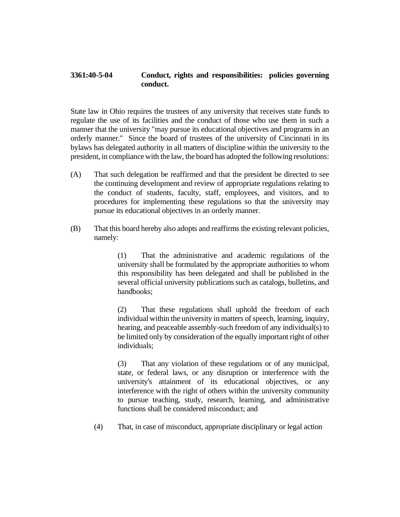## **3361:40-5-04 Conduct, rights and responsibilities: policies governing conduct.**

State law in Ohio requires the trustees of any university that receives state funds to regulate the use of its facilities and the conduct of those who use them in such a manner that the university "may pursue its educational objectives and programs in an orderly manner." Since the board of trustees of the university of Cincinnati in its bylaws has delegated authority in all matters of discipline within the university to the president, in compliance with the law, the board has adopted the following resolutions:

- (A) That such delegation be reaffirmed and that the president be directed to see the continuing development and review of appropriate regulations relating to the conduct of students, faculty, staff, employees, and visitors, and to procedures for implementing these regulations so that the university may pursue its educational objectives in an orderly manner.
- (B) That this board hereby also adopts and reaffirms the existing relevant policies, namely:

(1) That the administrative and academic regulations of the university shall be formulated by the appropriate authorities to whom this responsibility has been delegated and shall be published in the several official university publications such as catalogs, bulletins, and handbooks;

(2) That these regulations shall uphold the freedom of each individual within the university in matters of speech, learning, inquiry, hearing, and peaceable assembly-such freedom of any individual(s) to be limited only by consideration of the equally important right of other individuals;

(3) That any violation of these regulations or of any municipal, state, or federal laws, or any disruption or interference with the university's attainment of its educational objectives, or any interference with the right of others within the university community to pursue teaching, study, research, learning, and administrative functions shall be considered misconduct; and

(4) That, in case of misconduct, appropriate disciplinary or legal action